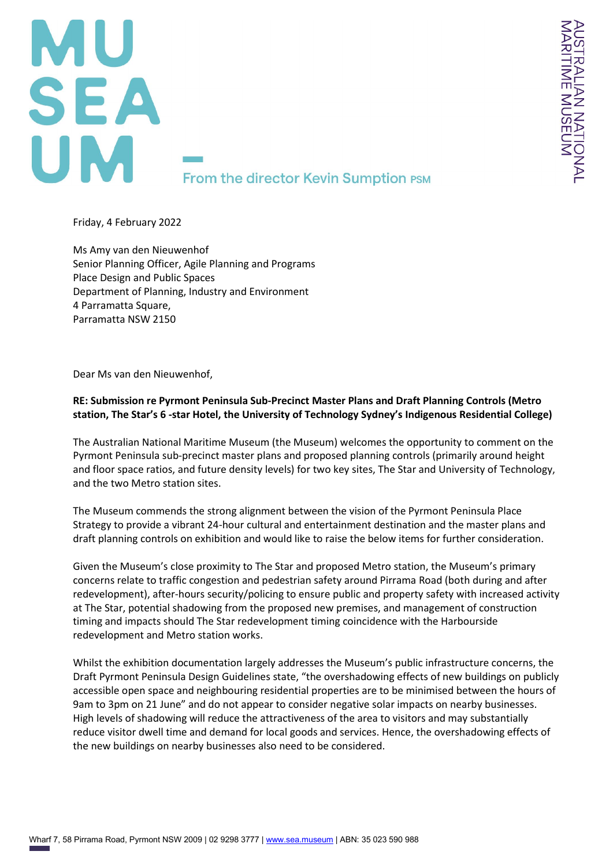

Friday, 4 February 2022

Ms Amy van den Nieuwenhof Senior Planning Officer, Agile Planning and Programs Place Design and Public Spaces Department of Planning, Industry and Environment 4 Parramatta Square, Parramatta NSW 2150

Dear Ms van den Nieuwenhof,

## **RE: Submission re Pyrmont Peninsula Sub-Precinct Master Plans and Draft Planning Controls (Metro station, The Star's 6 -star Hotel, the University of Technology Sydney's Indigenous Residential College)**

The Australian National Maritime Museum (the Museum) welcomes the opportunity to comment on the Pyrmont Peninsula sub-precinct master plans and proposed planning controls (primarily around height and floor space ratios, and future density levels) for two key sites, The Star and University of Technology, and the two Metro station sites.

The Museum commends the strong alignment between the vision of the Pyrmont Peninsula Place Strategy to provide a vibrant 24-hour cultural and entertainment destination and the master plans and draft planning controls on exhibition and would like to raise the below items for further consideration.

Given the Museum's close proximity to The Star and proposed Metro station, the Museum's primary concerns relate to traffic congestion and pedestrian safety around Pirrama Road (both during and after redevelopment), after-hours security/policing to ensure public and property safety with increased activity at The Star, potential shadowing from the proposed new premises, and management of construction timing and impacts should The Star redevelopment timing coincidence with the Harbourside redevelopment and Metro station works.

Whilst the exhibition documentation largely addresses the Museum's public infrastructure concerns, the Draft Pyrmont Peninsula Design Guidelines state, "the overshadowing effects of new buildings on publicly accessible open space and neighbouring residential properties are to be minimised between the hours of 9am to 3pm on 21 June" and do not appear to consider negative solar impacts on nearby businesses. High levels of shadowing will reduce the attractiveness of the area to visitors and may substantially reduce visitor dwell time and demand for local goods and services. Hence, the overshadowing effects of the new buildings on nearby businesses also need to be considered.